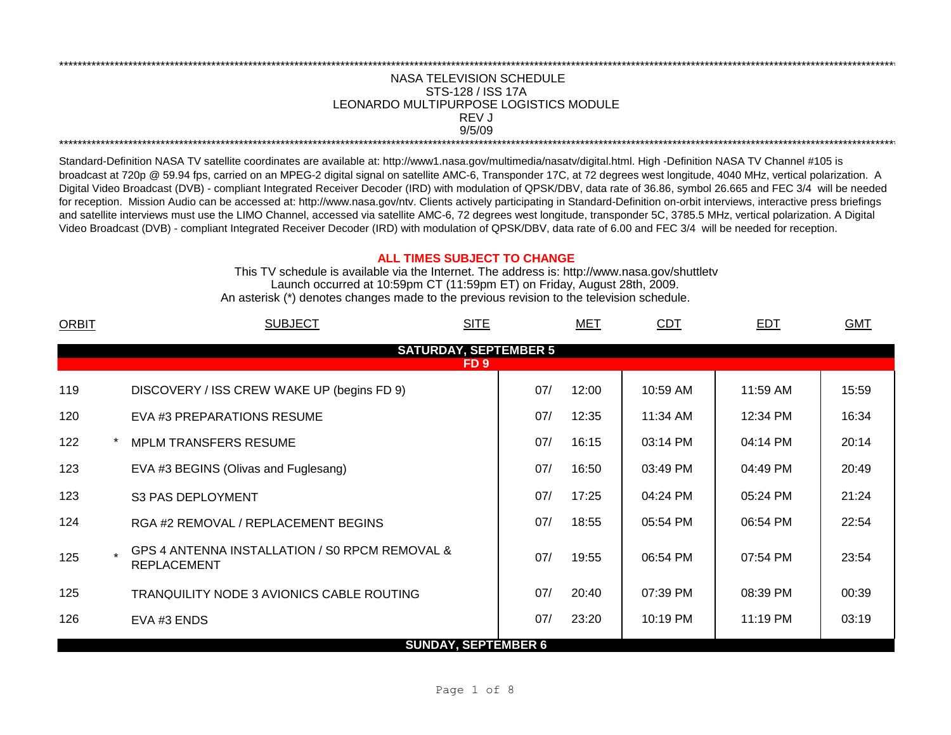## NASA TELEVISION SCHEDULE STS-128 / ISS 17A 9/5/09 \*\*\*\*\*\*\*\*\*\*\*\*\*\*\*\*\*\*\*\*\*\*\*\*\*\*\*\*\*\*\*\*\*\*\*\*\*\*\*\*\*\*\*\*\*\*\*\*\*\*\*\*\*\*\*\*\*\*\*\*\*\*\*\*\*\*\*\*\*\*\*\*\*\*\*\*\*\*\*\*\*\*\*\*\*\*\*\*\*\*\*\*\*\*\*\*\*\*\*\*\*\*\*\*\*\*\*\*\*\*\*\*\*\*\*\*\*\*\*\*\*\*\*\*\*\*\*\*\*\*\*\*\*\*\*\*\*\*\*\*\*\*\*\*\*\*\*\*\*\*\*\*\*\*\*\*\*\*\*\*\*\*\*\*\*\*\*\*\*\*\*\*\*\*\*\*\*\*\*\*\*\*\*\*\* REV J LEONARDO MULTIPURPOSE LOGISTICS MODULE

\*\*\*\*\*\*\*\*\*\*\*\*\*\*\*\*\*\*\*\*\*\*\*\*\*\*\*\*\*\*\*\*\*\*\*\*\*\*\*\*\*\*\*\*\*\*\*\*\*\*\*\*\*\*\*\*\*\*\*\*\*\*\*\*\*\*\*\*\*\*\*\*\*\*\*\*\*\*\*\*\*\*\*\*\*\*\*\*\*\*\*\*\*\*\*\*\*\*\*\*\*\*\*\*\*\*\*\*\*\*\*\*\*\*\*\*\*\*\*\*\*\*\*\*\*\*\*\*\*\*\*\*\*\*\*\*\*\*\*\*\*\*\*\*\*\*\*\*\*\*\*\*\*\*\*\*\*\*\*\*\*\*\*\*\*\*\*\*\*\*\*\*\*\*\*\*\*\*\*\*\*\*\*\*\*

Standard-Definition NASA TV satellite coordinates are available at: http://www1.nasa.gov/multimedia/nasatv/digital.html. High -Definition NASA TV Channel #105 is broadcast at 720p @ 59.94 fps, carried on an MPEG-2 digital signal on satellite AMC-6, Transponder 17C, at 72 degrees west longitude, 4040 MHz, vertical polarization. A Digital Video Broadcast (DVB) - compliant Integrated Receiver Decoder (IRD) with modulation of QPSK/DBV, data rate of 36.86, symbol 26.665 and FEC 3/4 will be needed for reception. Mission Audio can be accessed at: http://www.nasa.gov/ntv. Clients actively participating in Standard-Definition on-orbit interviews, interactive press briefings and satellite interviews must use the LIMO Channel, accessed via satellite AMC-6, 72 degrees west longitude, transponder 5C, 3785.5 MHz, vertical polarization. A Digital Video Broadcast (DVB) - compliant Integrated Receiver Decoder (IRD) with modulation of QPSK/DBV, data rate of 6.00 and FEC 3/4 will be needed for reception.

## **ALL TIMES SUBJECT TO CHANGE**

Launch occurred at 10:59pm CT (11:59pm ET) on Friday, August 28th, 2009. An asterisk (\*) denotes changes made to the previous revision to the television schedule. This TV schedule is available via the Internet. The address is: http://www.nasa.gov/shuttletv

| <b>ORBIT</b>                 | <b>SITE</b><br><b>SUBJECT</b>                                        |     | MET   | <b>CDT</b> | <b>EDT</b> | <b>GMT</b> |  |  |  |
|------------------------------|----------------------------------------------------------------------|-----|-------|------------|------------|------------|--|--|--|
| <b>SATURDAY, SEPTEMBER 5</b> |                                                                      |     |       |            |            |            |  |  |  |
|                              | FD <sub>9</sub>                                                      |     |       |            |            |            |  |  |  |
| 119                          | DISCOVERY / ISS CREW WAKE UP (begins FD 9)                           | 07/ | 12:00 | 10:59 AM   | 11:59 AM   | 15:59      |  |  |  |
| 120                          | EVA #3 PREPARATIONS RESUME                                           | 07/ | 12:35 | 11:34 AM   | 12:34 PM   | 16:34      |  |  |  |
| 122                          | <b>MPLM TRANSFERS RESUME</b>                                         | 07/ | 16:15 | 03:14 PM   | 04:14 PM   | 20:14      |  |  |  |
| 123                          | EVA #3 BEGINS (Olivas and Fuglesang)                                 | 07/ | 16:50 | 03:49 PM   | 04:49 PM   | 20:49      |  |  |  |
| 123                          | S3 PAS DEPLOYMENT                                                    | 07/ | 17:25 | 04:24 PM   | 05:24 PM   | 21:24      |  |  |  |
| 124                          | RGA #2 REMOVAL / REPLACEMENT BEGINS                                  | 07/ | 18:55 | 05:54 PM   | 06:54 PM   | 22:54      |  |  |  |
| 125                          | GPS 4 ANTENNA INSTALLATION / SO RPCM REMOVAL &<br><b>REPLACEMENT</b> | 07/ | 19:55 | 06:54 PM   | 07:54 PM   | 23:54      |  |  |  |
| 125                          | <b>TRANQUILITY NODE 3 AVIONICS CABLE ROUTING</b>                     | 07/ | 20:40 | 07:39 PM   | 08:39 PM   | 00:39      |  |  |  |
| 126                          | EVA #3 ENDS                                                          | 07/ | 23:20 | 10:19 PM   | 11:19 PM   | 03:19      |  |  |  |
|                              | <b>SUNDAY, SEPTEMBER 6</b>                                           |     |       |            |            |            |  |  |  |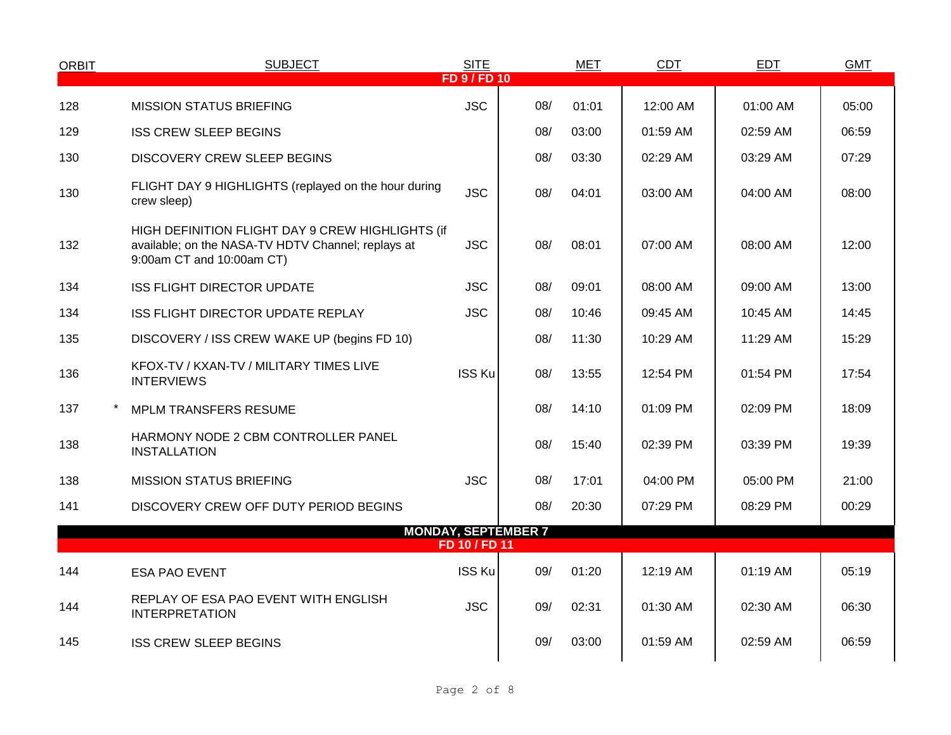| <b>ORBIT</b> | <b>SUBJECT</b>                                                                                                                      | <b>SITE</b>       |     | <b>MET</b> | <b>CDT</b> | EDT      | <b>GMT</b> |
|--------------|-------------------------------------------------------------------------------------------------------------------------------------|-------------------|-----|------------|------------|----------|------------|
|              |                                                                                                                                     | <b>FD 9/FD 10</b> |     |            |            |          |            |
| 128          | <b>MISSION STATUS BRIEFING</b>                                                                                                      | <b>JSC</b>        | 08/ | 01:01      | 12:00 AM   | 01:00 AM | 05:00      |
| 129          | <b>ISS CREW SLEEP BEGINS</b>                                                                                                        |                   | 08/ | 03:00      | 01:59 AM   | 02:59 AM | 06:59      |
| 130          | <b>DISCOVERY CREW SLEEP BEGINS</b>                                                                                                  |                   | 08/ | 03:30      | 02:29 AM   | 03:29 AM | 07:29      |
| 130          | FLIGHT DAY 9 HIGHLIGHTS (replayed on the hour during<br>crew sleep)                                                                 | <b>JSC</b>        | 08/ | 04:01      | 03:00 AM   | 04:00 AM | 08:00      |
| 132          | HIGH DEFINITION FLIGHT DAY 9 CREW HIGHLIGHTS (if<br>available; on the NASA-TV HDTV Channel; replays at<br>9:00am CT and 10:00am CT) | <b>JSC</b>        | 08/ | 08:01      | 07:00 AM   | 08:00 AM | 12:00      |
| 134          | <b>ISS FLIGHT DIRECTOR UPDATE</b>                                                                                                   | <b>JSC</b>        | 08/ | 09:01      | 08:00 AM   | 09:00 AM | 13:00      |
| 134          | ISS FLIGHT DIRECTOR UPDATE REPLAY                                                                                                   | <b>JSC</b>        | 08/ | 10:46      | 09:45 AM   | 10:45 AM | 14:45      |
| 135          | DISCOVERY / ISS CREW WAKE UP (begins FD 10)                                                                                         |                   | 08/ | 11:30      | 10:29 AM   | 11:29 AM | 15:29      |
| 136          | KFOX-TV / KXAN-TV / MILITARY TIMES LIVE<br><b>INTERVIEWS</b>                                                                        | ISS Ku            | 08/ | 13:55      | 12:54 PM   | 01:54 PM | 17:54      |
| 137          | <b>MPLM TRANSFERS RESUME</b>                                                                                                        |                   | 08/ | 14:10      | 01:09 PM   | 02:09 PM | 18:09      |
| 138          | HARMONY NODE 2 CBM CONTROLLER PANEL<br><b>INSTALLATION</b>                                                                          |                   | 08/ | 15:40      | 02:39 PM   | 03:39 PM | 19:39      |
| 138          | <b>MISSION STATUS BRIEFING</b>                                                                                                      | <b>JSC</b>        | 08/ | 17:01      | 04:00 PM   | 05:00 PM | 21:00      |
| 141          | DISCOVERY CREW OFF DUTY PERIOD BEGINS                                                                                               |                   | 08/ | 20:30      | 07:29 PM   | 08:29 PM | 00:29      |
|              | <b>MONDAY, SEPTEMBER 7</b>                                                                                                          | FD 10 / FD 11     |     |            |            |          |            |
|              |                                                                                                                                     |                   |     |            |            |          |            |
| 144          | <b>ESA PAO EVENT</b>                                                                                                                | <b>ISS Ku</b>     | 09/ | 01:20      | 12:19 AM   | 01:19 AM | 05:19      |
| 144          | REPLAY OF ESA PAO EVENT WITH ENGLISH<br><b>INTERPRETATION</b>                                                                       | <b>JSC</b>        | 09/ | 02:31      | 01:30 AM   | 02:30 AM | 06:30      |
| 145          | <b>ISS CREW SLEEP BEGINS</b>                                                                                                        |                   | 09/ | 03:00      | 01:59 AM   | 02:59 AM | 06:59      |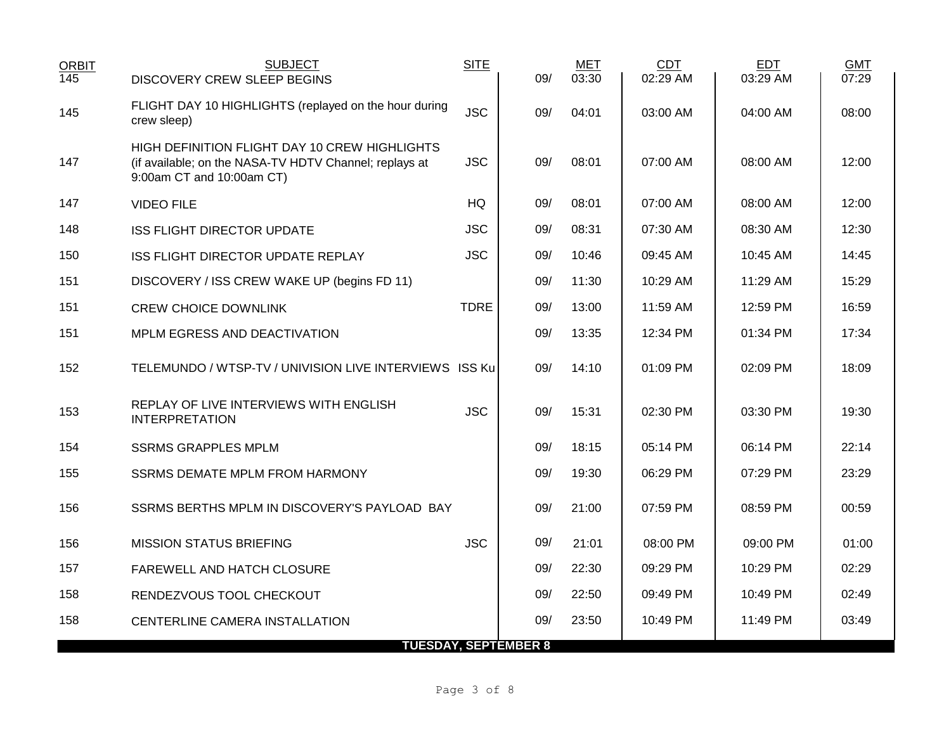| <b>ORBIT</b><br>145 | <b>SUBJECT</b><br><b>DISCOVERY CREW SLEEP BEGINS</b>                                                                                 | <b>SITE</b> | 09/ | <b>MET</b><br>03:30 | <b>CDT</b><br>02:29 AM | <b>EDT</b><br>03:29 AM | <b>GMT</b><br>07:29 |
|---------------------|--------------------------------------------------------------------------------------------------------------------------------------|-------------|-----|---------------------|------------------------|------------------------|---------------------|
| 145                 | FLIGHT DAY 10 HIGHLIGHTS (replayed on the hour during<br>crew sleep)                                                                 | <b>JSC</b>  | 09/ | 04:01               | 03:00 AM               | 04:00 AM               | 08:00               |
| 147                 | HIGH DEFINITION FLIGHT DAY 10 CREW HIGHLIGHTS<br>(if available; on the NASA-TV HDTV Channel; replays at<br>9:00am CT and 10:00am CT) | <b>JSC</b>  | 09/ | 08:01               | 07:00 AM               | 08:00 AM               | 12:00               |
| 147                 | <b>VIDEO FILE</b>                                                                                                                    | HQ          | 09/ | 08:01               | 07:00 AM               | 08:00 AM               | 12:00               |
| 148                 | <b>ISS FLIGHT DIRECTOR UPDATE</b>                                                                                                    | <b>JSC</b>  | 09/ | 08:31               | 07:30 AM               | 08:30 AM               | 12:30               |
| 150                 | ISS FLIGHT DIRECTOR UPDATE REPLAY                                                                                                    | <b>JSC</b>  | 09/ | 10:46               | 09:45 AM               | 10:45 AM               | 14:45               |
| 151                 | DISCOVERY / ISS CREW WAKE UP (begins FD 11)                                                                                          |             | 09/ | 11:30               | 10:29 AM               | 11:29 AM               | 15:29               |
| 151                 | <b>CREW CHOICE DOWNLINK</b>                                                                                                          | <b>TDRE</b> | 09/ | 13:00               | $11:59$ AM             | 12:59 PM               | 16:59               |
| 151                 | MPLM EGRESS AND DEACTIVATION                                                                                                         |             | 09/ | 13:35               | 12:34 PM               | 01:34 PM               | 17:34               |
| 152                 | TELEMUNDO / WTSP-TV / UNIVISION LIVE INTERVIEWS ISS Ku                                                                               |             | 09/ | 14:10               | 01:09 PM               | 02:09 PM               | 18:09               |
| 153                 | REPLAY OF LIVE INTERVIEWS WITH ENGLISH<br><b>INTERPRETATION</b>                                                                      | <b>JSC</b>  | 09/ | 15:31               | 02:30 PM               | 03:30 PM               | 19:30               |
| 154                 | <b>SSRMS GRAPPLES MPLM</b>                                                                                                           |             | 09/ | 18:15               | 05:14 PM               | 06:14 PM               | 22:14               |
| 155                 | <b>SSRMS DEMATE MPLM FROM HARMONY</b>                                                                                                |             | 09/ | 19:30               | 06:29 PM               | 07:29 PM               | 23:29               |
| 156                 | SSRMS BERTHS MPLM IN DISCOVERY'S PAYLOAD BAY                                                                                         |             | 09/ | 21:00               | 07:59 PM               | 08:59 PM               | 00:59               |
| 156                 | <b>MISSION STATUS BRIEFING</b>                                                                                                       | <b>JSC</b>  | 09/ | 21:01               | 08:00 PM               | 09:00 PM               | 01:00               |
| 157                 | FAREWELL AND HATCH CLOSURE                                                                                                           |             | 09/ | 22:30               | 09:29 PM               | 10:29 PM               | 02:29               |
| 158                 | RENDEZVOUS TOOL CHECKOUT                                                                                                             |             | 09/ | 22:50               | 09:49 PM               | 10:49 PM               | 02:49               |
| 158                 | CENTERLINE CAMERA INSTALLATION                                                                                                       |             | 09/ | 23:50               | 10:49 PM               | 11:49 PM               | 03:49               |
|                     | <b>TUESDAY, SEPTEMBER 8</b>                                                                                                          |             |     |                     |                        |                        |                     |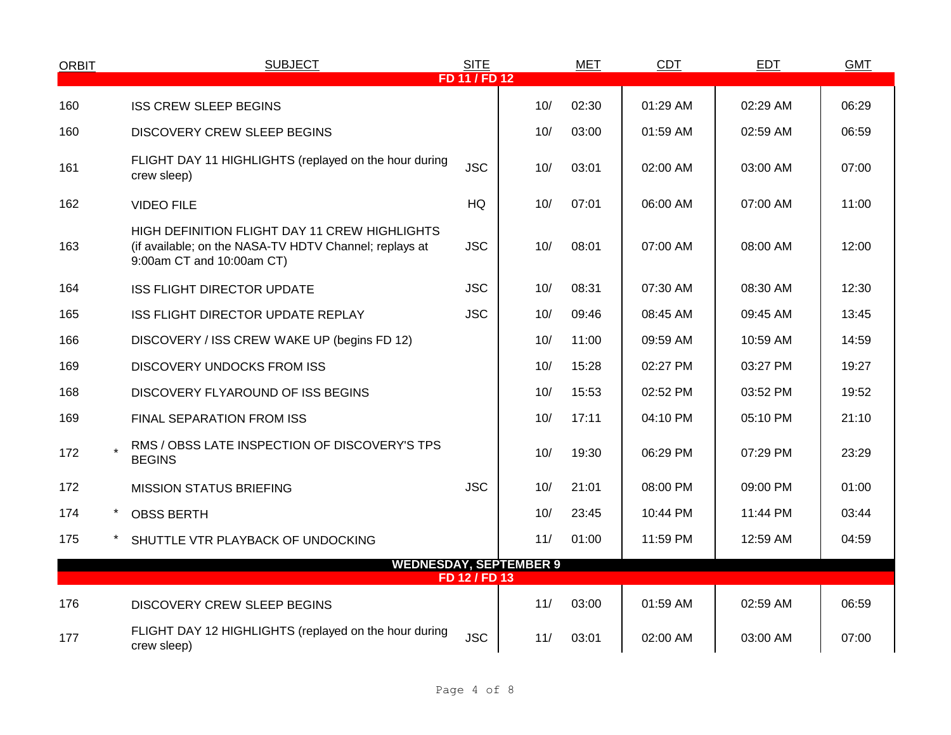| <b>ORBIT</b> | <b>SUBJECT</b>                                                                                                                       | <b>SITE</b>   |                               | MET   | <b>CDT</b> | <b>EDT</b> | <b>GMT</b> |
|--------------|--------------------------------------------------------------------------------------------------------------------------------------|---------------|-------------------------------|-------|------------|------------|------------|
|              |                                                                                                                                      | FD 11 / FD 12 |                               |       |            |            |            |
| 160          | <b>ISS CREW SLEEP BEGINS</b>                                                                                                         |               | 10/                           | 02:30 | 01:29 AM   | 02:29 AM   | 06:29      |
| 160          | <b>DISCOVERY CREW SLEEP BEGINS</b>                                                                                                   |               | 10/                           | 03:00 | 01:59 AM   | 02:59 AM   | 06:59      |
| 161          | FLIGHT DAY 11 HIGHLIGHTS (replayed on the hour during<br>crew sleep)                                                                 | <b>JSC</b>    | 10/                           | 03:01 | 02:00 AM   | 03:00 AM   | 07:00      |
| 162          | <b>VIDEO FILE</b>                                                                                                                    | HQ            | 10/                           | 07:01 | 06:00 AM   | 07:00 AM   | 11:00      |
| 163          | HIGH DEFINITION FLIGHT DAY 11 CREW HIGHLIGHTS<br>(if available; on the NASA-TV HDTV Channel; replays at<br>9:00am CT and 10:00am CT) | <b>JSC</b>    | 10/                           | 08:01 | 07:00 AM   | 08:00 AM   | 12:00      |
| 164          | <b>ISS FLIGHT DIRECTOR UPDATE</b>                                                                                                    | <b>JSC</b>    | 10/                           | 08:31 | 07:30 AM   | 08:30 AM   | 12:30      |
| 165          | ISS FLIGHT DIRECTOR UPDATE REPLAY                                                                                                    | <b>JSC</b>    | 10/                           | 09:46 | 08:45 AM   | 09:45 AM   | 13:45      |
| 166          | DISCOVERY / ISS CREW WAKE UP (begins FD 12)                                                                                          |               | 10/                           | 11:00 | 09:59 AM   | 10:59 AM   | 14:59      |
| 169          | <b>DISCOVERY UNDOCKS FROM ISS</b>                                                                                                    |               | 10/                           | 15:28 | 02:27 PM   | 03:27 PM   | 19:27      |
| 168          | DISCOVERY FLYAROUND OF ISS BEGINS                                                                                                    |               | 10/                           | 15:53 | 02:52 PM   | 03:52 PM   | 19:52      |
| 169          | FINAL SEPARATION FROM ISS                                                                                                            |               | 10/                           | 17:11 | 04:10 PM   | 05:10 PM   | 21:10      |
| 172          | RMS / OBSS LATE INSPECTION OF DISCOVERY'S TPS<br><b>BEGINS</b>                                                                       |               | 10/                           | 19:30 | 06:29 PM   | 07:29 PM   | 23:29      |
| 172          | <b>MISSION STATUS BRIEFING</b>                                                                                                       | <b>JSC</b>    | 10/                           | 21:01 | 08:00 PM   | 09:00 PM   | 01:00      |
| 174          | <b>OBSS BERTH</b>                                                                                                                    |               | 10/                           | 23:45 | 10:44 PM   | 11:44 PM   | 03:44      |
| 175          | SHUTTLE VTR PLAYBACK OF UNDOCKING                                                                                                    |               | 11/                           | 01:00 | 11:59 PM   | 12:59 AM   | 04:59      |
|              |                                                                                                                                      | FD 12 / FD 13 | <b>WEDNESDAY, SEPTEMBER 9</b> |       |            |            |            |
|              |                                                                                                                                      |               |                               |       |            |            |            |
| 176          | <b>DISCOVERY CREW SLEEP BEGINS</b>                                                                                                   |               | 11/                           | 03:00 | 01:59 AM   | 02:59 AM   | 06:59      |
| 177          | FLIGHT DAY 12 HIGHLIGHTS (replayed on the hour during<br>crew sleep)                                                                 | <b>JSC</b>    | 11/                           | 03:01 | 02:00 AM   | 03:00 AM   | 07:00      |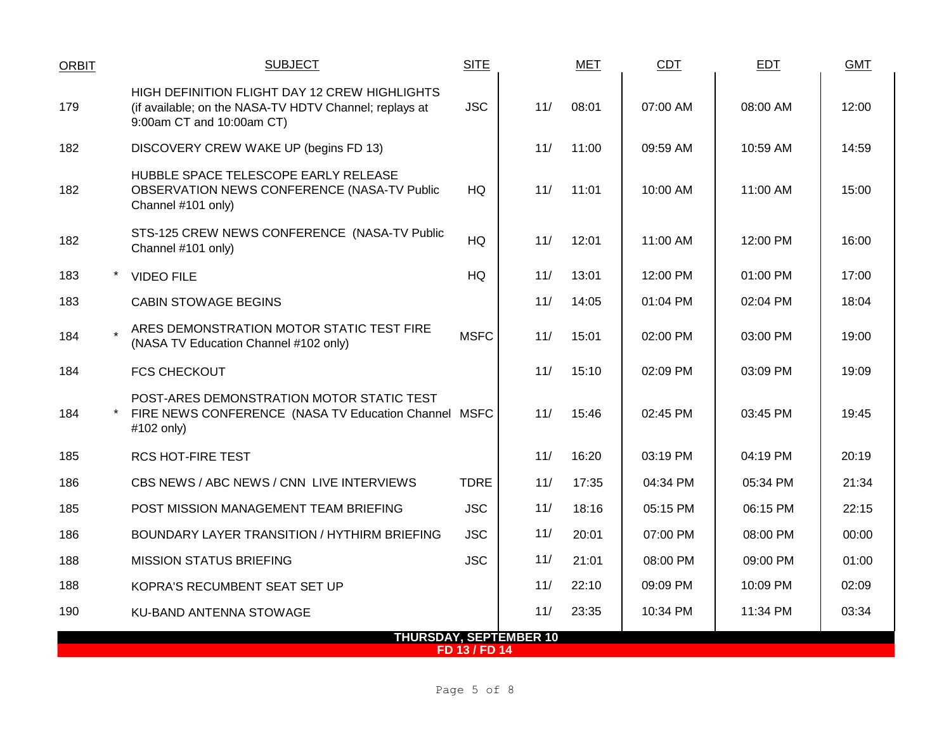| <b>ORBIT</b>                                   |  | <b>SUBJECT</b>                                                                                                                       | <b>SITE</b> |     | MET   | <b>CDT</b> | <b>EDT</b> | <b>GMT</b> |  |
|------------------------------------------------|--|--------------------------------------------------------------------------------------------------------------------------------------|-------------|-----|-------|------------|------------|------------|--|
| 179                                            |  | HIGH DEFINITION FLIGHT DAY 12 CREW HIGHLIGHTS<br>(if available; on the NASA-TV HDTV Channel; replays at<br>9:00am CT and 10:00am CT) | <b>JSC</b>  | 11/ | 08:01 | 07:00 AM   | 08:00 AM   | 12:00      |  |
| 182                                            |  | DISCOVERY CREW WAKE UP (begins FD 13)                                                                                                |             | 11/ | 11:00 | 09:59 AM   | 10:59 AM   | 14:59      |  |
| 182                                            |  | HUBBLE SPACE TELESCOPE EARLY RELEASE<br>OBSERVATION NEWS CONFERENCE (NASA-TV Public<br>Channel #101 only)                            | HQ          | 11/ | 11:01 | 10:00 AM   | 11:00 AM   | 15:00      |  |
| 182                                            |  | STS-125 CREW NEWS CONFERENCE (NASA-TV Public<br>Channel #101 only)                                                                   | <b>HQ</b>   | 11/ | 12:01 | 11:00 AM   | 12:00 PM   | 16:00      |  |
| 183                                            |  | <b>VIDEO FILE</b>                                                                                                                    | HQ          | 11/ | 13:01 | 12:00 PM   | 01:00 PM   | 17:00      |  |
| 183                                            |  | <b>CABIN STOWAGE BEGINS</b>                                                                                                          |             | 11/ | 14:05 | $01:04$ PM | 02:04 PM   | 18:04      |  |
| 184                                            |  | ARES DEMONSTRATION MOTOR STATIC TEST FIRE<br>(NASA TV Education Channel #102 only)                                                   | <b>MSFC</b> | 11/ | 15:01 | 02:00 PM   | 03:00 PM   | 19:00      |  |
| 184                                            |  | <b>FCS CHECKOUT</b>                                                                                                                  |             | 11/ | 15:10 | 02:09 PM   | 03:09 PM   | 19:09      |  |
| 184                                            |  | POST-ARES DEMONSTRATION MOTOR STATIC TEST<br>FIRE NEWS CONFERENCE (NASA TV Education Channel MSFC<br>#102 only)                      |             | 11/ | 15:46 | 02:45 PM   | 03:45 PM   | 19:45      |  |
| 185                                            |  | RCS HOT-FIRE TEST                                                                                                                    |             | 11/ | 16:20 | 03:19 PM   | 04:19 PM   | 20:19      |  |
| 186                                            |  | CBS NEWS / ABC NEWS / CNN LIVE INTERVIEWS                                                                                            | <b>TDRE</b> | 11/ | 17:35 | 04:34 PM   | 05:34 PM   | 21:34      |  |
| 185                                            |  | POST MISSION MANAGEMENT TEAM BRIEFING                                                                                                | <b>JSC</b>  | 11/ | 18:16 | 05:15 PM   | 06:15 PM   | 22:15      |  |
| 186                                            |  | BOUNDARY LAYER TRANSITION / HYTHIRM BRIEFING                                                                                         | <b>JSC</b>  | 11/ | 20:01 | 07:00 PM   | 08:00 PM   | 00:00      |  |
| 188                                            |  | <b>MISSION STATUS BRIEFING</b>                                                                                                       | <b>JSC</b>  | 11/ | 21:01 | 08:00 PM   | 09:00 PM   | 01:00      |  |
| 188                                            |  | KOPRA'S RECUMBENT SEAT SET UP                                                                                                        |             | 11/ | 22:10 | 09:09 PM   | 10:09 PM   | 02:09      |  |
| 190                                            |  | KU-BAND ANTENNA STOWAGE                                                                                                              |             | 11/ | 23:35 | 10:34 PM   | 11:34 PM   | 03:34      |  |
| <b>THURSDAY, SEPTEMBER 10</b><br>FD 13 / FD 14 |  |                                                                                                                                      |             |     |       |            |            |            |  |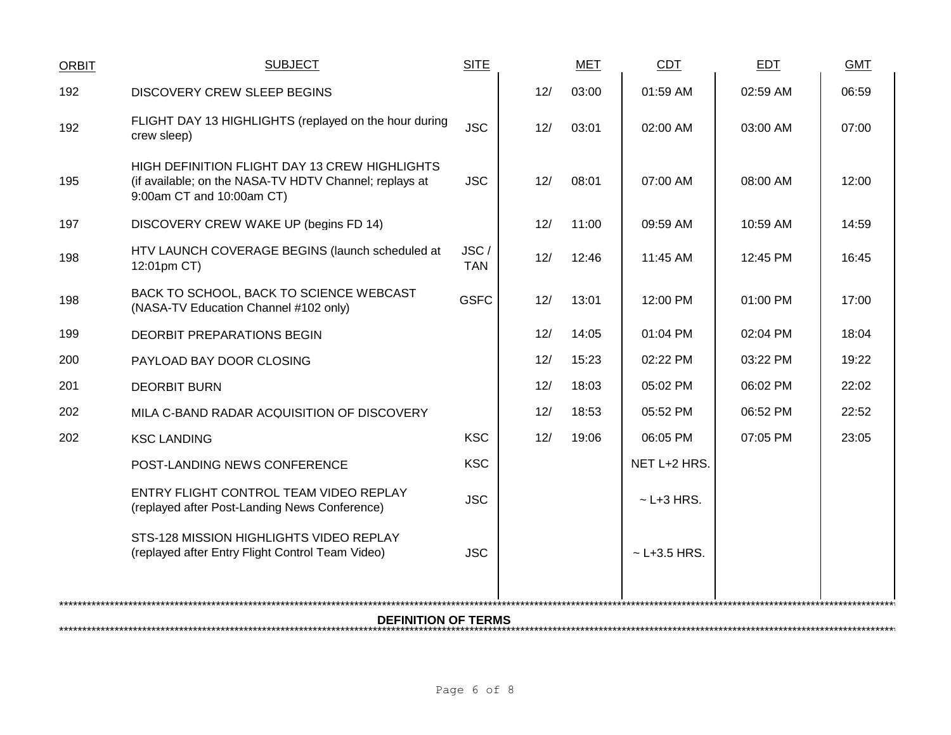| <b>ORBIT</b> | <b>SUBJECT</b>                                                                                                                              | <b>SITE</b>        |     | <b>MET</b> | CDT               | <b>EDT</b> | <b>GMT</b> |  |  |  |  |
|--------------|---------------------------------------------------------------------------------------------------------------------------------------------|--------------------|-----|------------|-------------------|------------|------------|--|--|--|--|
| 192          | <b>DISCOVERY CREW SLEEP BEGINS</b>                                                                                                          |                    | 12/ | 03:00      | 01:59 AM          | 02:59 AM   | 06:59      |  |  |  |  |
| 192          | FLIGHT DAY 13 HIGHLIGHTS (replayed on the hour during<br>crew sleep)                                                                        | <b>JSC</b>         | 12/ | 03:01      | 02:00 AM          | 03:00 AM   | 07:00      |  |  |  |  |
| 195          | <b>HIGH DEFINITION FLIGHT DAY 13 CREW HIGHLIGHTS</b><br>(if available; on the NASA-TV HDTV Channel; replays at<br>9:00am CT and 10:00am CT) | <b>JSC</b>         | 12/ | 08:01      | 07:00 AM          | 08:00 AM   | 12:00      |  |  |  |  |
| 197          | DISCOVERY CREW WAKE UP (begins FD 14)                                                                                                       |                    | 12/ | 11:00      | 09:59 AM          | 10:59 AM   | 14:59      |  |  |  |  |
| 198          | HTV LAUNCH COVERAGE BEGINS (launch scheduled at<br>12:01pm CT)                                                                              | JSC/<br><b>TAN</b> | 12/ | 12:46      | 11:45 AM          | 12:45 PM   | 16:45      |  |  |  |  |
| 198          | BACK TO SCHOOL, BACK TO SCIENCE WEBCAST<br>(NASA-TV Education Channel #102 only)                                                            | <b>GSFC</b>        | 12/ | 13:01      | 12:00 PM          | 01:00 PM   | 17:00      |  |  |  |  |
| 199          | <b>DEORBIT PREPARATIONS BEGIN</b>                                                                                                           |                    | 12/ | 14:05      | 01:04 PM          | 02:04 PM   | 18:04      |  |  |  |  |
| 200          | PAYLOAD BAY DOOR CLOSING                                                                                                                    |                    | 12/ | 15:23      | 02:22 PM          | 03:22 PM   | 19:22      |  |  |  |  |
| 201          | <b>DEORBIT BURN</b>                                                                                                                         |                    | 12/ | 18:03      | 05:02 PM          | 06:02 PM   | 22:02      |  |  |  |  |
| 202          | MILA C-BAND RADAR ACQUISITION OF DISCOVERY                                                                                                  |                    | 12/ | 18:53      | 05:52 PM          | 06:52 PM   | 22:52      |  |  |  |  |
| 202          | <b>KSC LANDING</b>                                                                                                                          | <b>KSC</b>         | 12/ | 19:06      | 06:05 PM          | 07:05 PM   | 23:05      |  |  |  |  |
|              | POST-LANDING NEWS CONFERENCE                                                                                                                | <b>KSC</b>         |     |            | NET L+2 HRS.      |            |            |  |  |  |  |
|              | ENTRY FLIGHT CONTROL TEAM VIDEO REPLAY<br>(replayed after Post-Landing News Conference)                                                     | <b>JSC</b>         |     |            | $\sim$ L+3 HRS.   |            |            |  |  |  |  |
|              | STS-128 MISSION HIGHLIGHTS VIDEO REPLAY<br>(replayed after Entry Flight Control Team Video)                                                 | <b>JSC</b>         |     |            | $\sim$ L+3.5 HRS. |            |            |  |  |  |  |
|              | <b>DEFINITION OF TERMS</b>                                                                                                                  |                    |     |            |                   |            |            |  |  |  |  |
|              |                                                                                                                                             |                    |     |            |                   |            |            |  |  |  |  |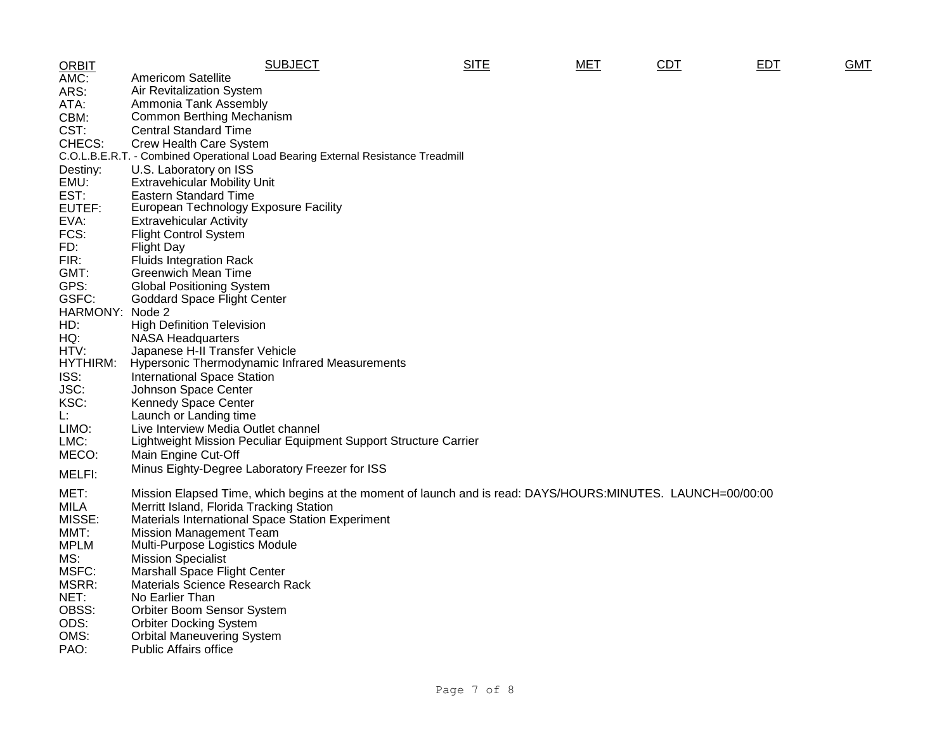| <b>ORBIT</b> | <b>SUBJECT</b>                                                                                              | <b>SITE</b> | MET | CDT | <b>EDT</b> | <b>GMT</b> |
|--------------|-------------------------------------------------------------------------------------------------------------|-------------|-----|-----|------------|------------|
| AMC:         | <b>Americom Satellite</b>                                                                                   |             |     |     |            |            |
| ARS:         | Air Revitalization System                                                                                   |             |     |     |            |            |
| ATA:         | Ammonia Tank Assembly                                                                                       |             |     |     |            |            |
| CBM:         | Common Berthing Mechanism                                                                                   |             |     |     |            |            |
| CST:         | <b>Central Standard Time</b>                                                                                |             |     |     |            |            |
| CHECS:       | Crew Health Care System                                                                                     |             |     |     |            |            |
|              | C.O.L.B.E.R.T. - Combined Operational Load Bearing External Resistance Treadmill                            |             |     |     |            |            |
| Destiny:     | U.S. Laboratory on ISS                                                                                      |             |     |     |            |            |
| EMU:         | <b>Extravehicular Mobility Unit</b>                                                                         |             |     |     |            |            |
| EST:         | <b>Eastern Standard Time</b>                                                                                |             |     |     |            |            |
| EUTEF:       | European Technology Exposure Facility                                                                       |             |     |     |            |            |
| EVA:         | <b>Extravehicular Activity</b>                                                                              |             |     |     |            |            |
| FCS:         | <b>Flight Control System</b>                                                                                |             |     |     |            |            |
| FD:          | <b>Flight Day</b>                                                                                           |             |     |     |            |            |
| FIR:         | <b>Fluids Integration Rack</b>                                                                              |             |     |     |            |            |
| GMT:         | <b>Greenwich Mean Time</b>                                                                                  |             |     |     |            |            |
| GPS:         | <b>Global Positioning System</b>                                                                            |             |     |     |            |            |
| GSFC:        | <b>Goddard Space Flight Center</b>                                                                          |             |     |     |            |            |
| HARMONY:     | Node 2                                                                                                      |             |     |     |            |            |
| HD:          | <b>High Definition Television</b>                                                                           |             |     |     |            |            |
| HQ:          | <b>NASA Headquarters</b>                                                                                    |             |     |     |            |            |
| HTV:         | Japanese H-II Transfer Vehicle                                                                              |             |     |     |            |            |
| HYTHIRM:     | <b>Hypersonic Thermodynamic Infrared Measurements</b>                                                       |             |     |     |            |            |
| ISS:         | <b>International Space Station</b>                                                                          |             |     |     |            |            |
| JSC:         | Johnson Space Center                                                                                        |             |     |     |            |            |
| KSC:         | <b>Kennedy Space Center</b>                                                                                 |             |     |     |            |            |
| Ŀ.           | Launch or Landing time                                                                                      |             |     |     |            |            |
| LIMO:        | Live Interview Media Outlet channel                                                                         |             |     |     |            |            |
| LMC:         | Lightweight Mission Peculiar Equipment Support Structure Carrier                                            |             |     |     |            |            |
| MECO:        | Main Engine Cut-Off                                                                                         |             |     |     |            |            |
| MELFI:       | Minus Eighty-Degree Laboratory Freezer for ISS                                                              |             |     |     |            |            |
|              |                                                                                                             |             |     |     |            |            |
| MET:         | Mission Elapsed Time, which begins at the moment of launch and is read: DAYS/HOURS:MINUTES. LAUNCH=00/00:00 |             |     |     |            |            |
| <b>MILA</b>  | Merritt Island, Florida Tracking Station                                                                    |             |     |     |            |            |
| MISSE:       | Materials International Space Station Experiment                                                            |             |     |     |            |            |
| MMT:         | <b>Mission Management Team</b>                                                                              |             |     |     |            |            |
| <b>MPLM</b>  | Multi-Purpose Logistics Module                                                                              |             |     |     |            |            |
| MS:          | <b>Mission Specialist</b>                                                                                   |             |     |     |            |            |
| MSFC:        | <b>Marshall Space Flight Center</b>                                                                         |             |     |     |            |            |
| MSRR:        | Materials Science Research Rack                                                                             |             |     |     |            |            |
| NET:         | No Earlier Than                                                                                             |             |     |     |            |            |
| OBSS:        | Orbiter Boom Sensor System                                                                                  |             |     |     |            |            |
| ODS:         | <b>Orbiter Docking System</b>                                                                               |             |     |     |            |            |
| OMS:         | <b>Orbital Maneuvering System</b>                                                                           |             |     |     |            |            |
| PAO:         | <b>Public Affairs office</b>                                                                                |             |     |     |            |            |